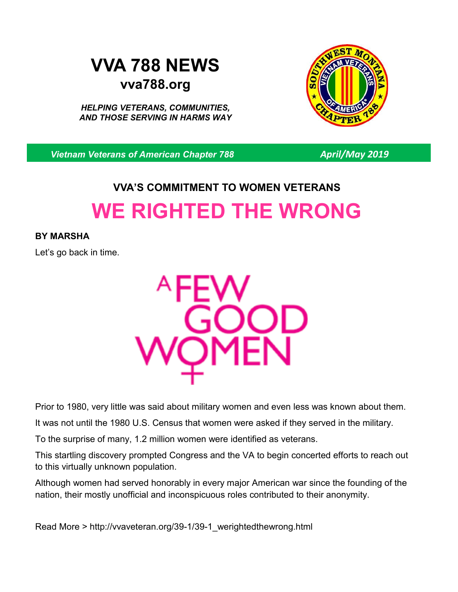## **VVA 788 NEWS vva788.org**

*HELPING VETERANS, COMMUNITIES, AND THOSE SERVING IN HARMS WAY*



*Vietnam Veterans of American Chapter 788 April/May 2019*

# **VVA'S COMMITMENT TO WOMEN VETERANS WE RIGHTED THE WRONG**

### **BY MARSHA**

Let's go back in time.



Prior to 1980, very little was said about military women and even less was known about them.

It was not until the 1980 U.S. Census that women were asked if they served in the military.

To the surprise of many, 1.2 million women were identified as veterans.

This startling discovery prompted Congress and the VA to begin concerted efforts to reach out to this virtually unknown population.

Although women had served honorably in every major American war since the founding of the nation, their mostly unofficial and inconspicuous roles contributed to their anonymity.

Read More > http://vvaveteran.org/39-1/39-1\_werightedthewrong.html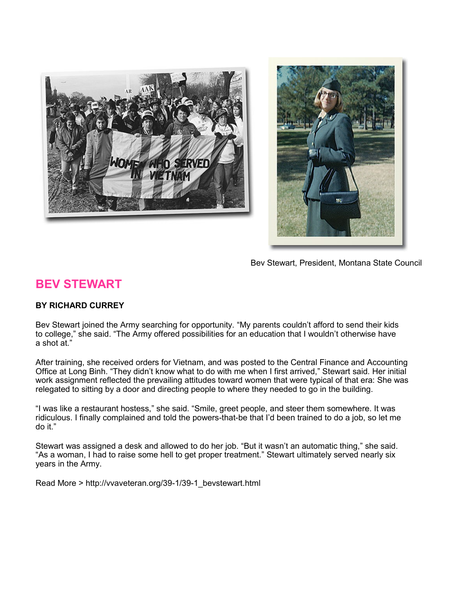



Bev Stewart, President, Montana State Council

## **BEV STEWART**

#### **BY RICHARD CURREY**

Bev Stewart joined the Army searching for opportunity. "My parents couldn't afford to send their kids to college," she said. "The Army offered possibilities for an education that I wouldn't otherwise have a shot at."

After training, she received orders for Vietnam, and was posted to the Central Finance and Accounting Office at Long Binh. "They didn't know what to do with me when I first arrived," Stewart said. Her initial work assignment reflected the prevailing attitudes toward women that were typical of that era: She was relegated to sitting by a door and directing people to where they needed to go in the building.

"I was like a restaurant hostess," she said. "Smile, greet people, and steer them somewhere. It was ridiculous. I finally complained and told the powers-that-be that I'd been trained to do a job, so let me do it."

Stewart was assigned a desk and allowed to do her job. "But it wasn't an automatic thing," she said. "As a woman, I had to raise some hell to get proper treatment." Stewart ultimately served nearly six years in the Army.

Read More > http://vvaveteran.org/39-1/39-1\_bevstewart.html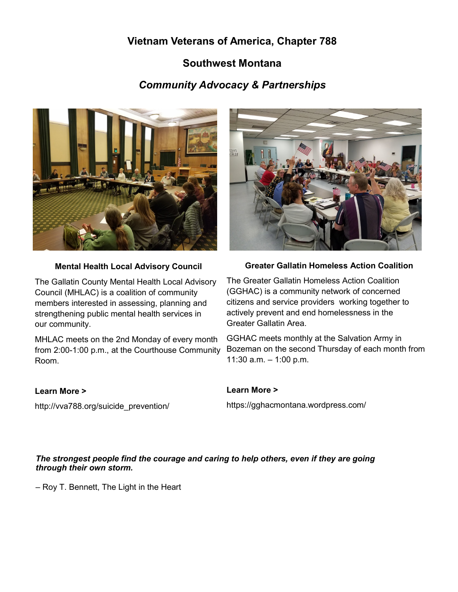## **Vietnam Veterans of America, Chapter 788**

## **Southwest Montana**

## *Community Advocacy & Partnerships*



#### **Mental Health Local Advisory Council**

The Gallatin County Mental Health Local Advisory Council (MHLAC) is a coalition of community members interested in assessing, planning and strengthening public mental health services in our community.

MHLAC meets on the 2nd Monday of every month from 2:00-1:00 p.m., at the Courthouse Community Room.



#### **Greater Gallatin Homeless Action Coalition**

The Greater Gallatin Homeless Action Coalition (GGHAC) is a community network of concerned citizens and service providers working together to actively prevent and end homelessness in the Greater Gallatin Area.

GGHAC meets monthly at the Salvation Army in Bozeman on the second Thursday of each month from 11:30 a.m. – 1:00 p.m.

#### **Learn More >**

http://vva788.org/suicide\_prevention/

#### **Learn More >**

https://gghacmontana.wordpress.com/

#### *The strongest people find the courage and caring to help others, even if they are going through their own storm.*

– Roy T. Bennett, The Light in the Heart